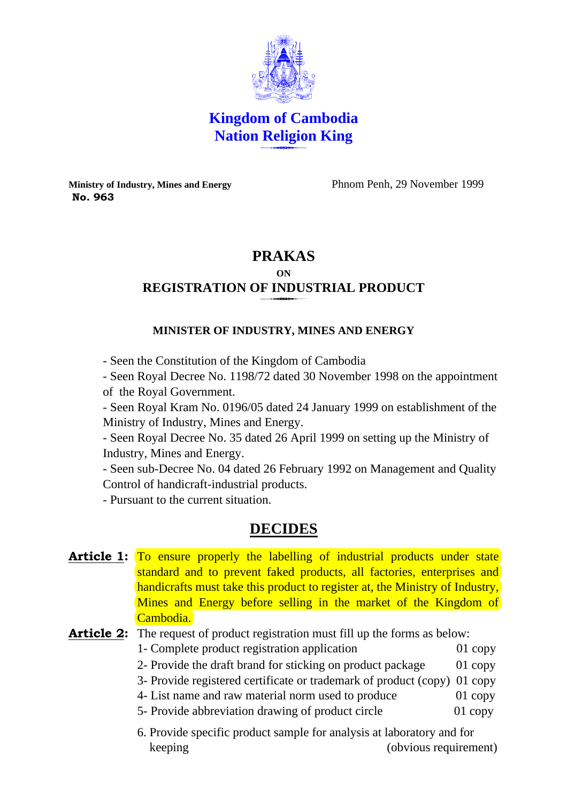

**Kingdom of Cambodia Nation Religion King**   $\frac{111310}{11000}$ 

**Ministry of Industry, Mines and Energy** Phnom Penh, 29 November 1999  **No. 963** 

## **PRAKAS**

# **ON REGISTRATION OF INDUSTRIAL PRODUCT**

### **MINISTER OF INDUSTRY, MINES AND ENERGY**

- Seen the Constitution of the Kingdom of Cambodia

- Seen Royal Decree No. 1198/72 dated 30 November 1998 on the appointment of the Royal Government.

- Seen Royal Kram No. 0196/05 dated 24 January 1999 on establishment of the Ministry of Industry, Mines and Energy.

- Seen Royal Decree No. 35 dated 26 April 1999 on setting up the Ministry of Industry, Mines and Energy.

- Seen sub-Decree No. 04 dated 26 February 1992 on Management and Quality Control of handicraft-industrial products.

- Pursuant to the current situation.

## **DECIDES**

**Article 1:** To ensure properly the labelling of industrial products under state standard and to prevent faked products, all factories, enterprises and handicrafts must take this product to register at, the Ministry of Industry, Mines and Energy before selling in the market of the Kingdom of Cambodia.

## Article 2: The request of product registration must fill up the forms as below:

- 1- Complete product registration application 01 copy
- 2- Provide the draft brand for sticking on product package 01 copy
- 3- Provide registered certificate or trademark of product (copy) 01 copy
- 4- List name and raw material norm used to produce 01 copy
- 5- Provide abbreviation drawing of product circle 01 copy
- 6. Provide specific product sample for analysis at laboratory and for keeping (obvious requirement)